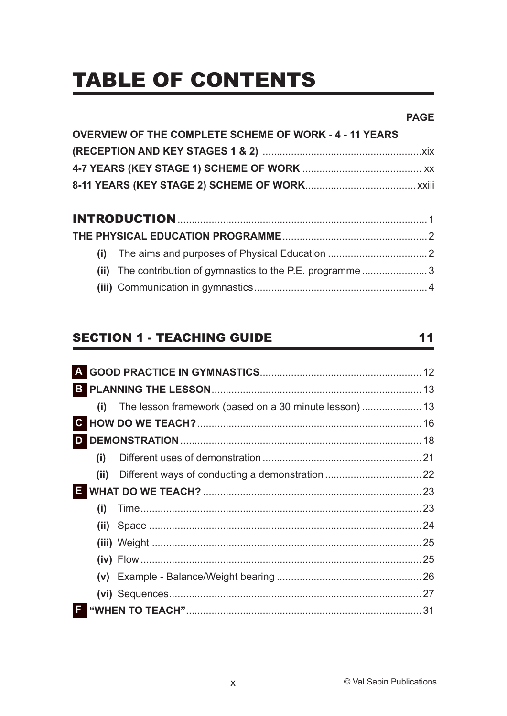# **TABLE OF CONTENTS**

#### **PAGE**

 $11$ 

| <b>OVERVIEW OF THE COMPLETE SCHEME OF WORK - 4 - 11 YEARS</b> |  |
|---------------------------------------------------------------|--|
|                                                               |  |
|                                                               |  |
|                                                               |  |
|                                                               |  |
|                                                               |  |
|                                                               |  |
|                                                               |  |
|                                                               |  |

# **SECTION 1 - TEACHING GUIDE**

|    | (i)  |    |
|----|------|----|
|    |      |    |
|    |      |    |
|    | (i)  |    |
|    | (ii) |    |
| Е. |      |    |
|    | (i)  |    |
|    |      |    |
|    |      |    |
|    |      |    |
|    |      |    |
|    |      |    |
| F  |      | 31 |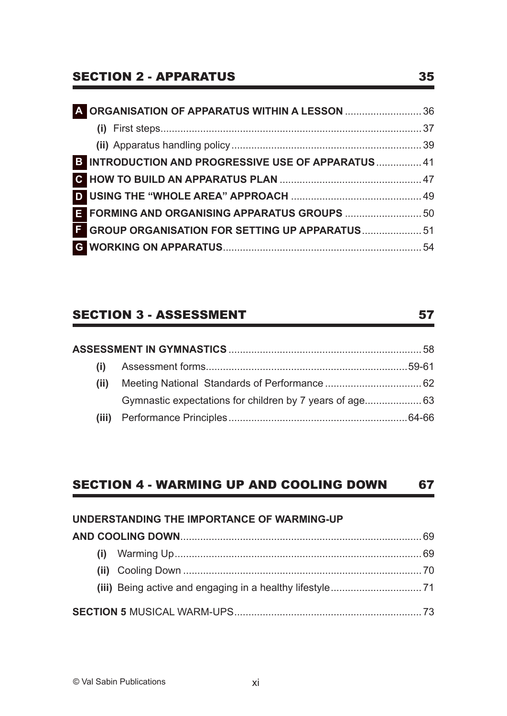# SECTION 2 - APPARATUS 35

| 4 ORGANISATION OF APPARATUS WITHIN A LESSON  36            |  |
|------------------------------------------------------------|--|
|                                                            |  |
|                                                            |  |
| <b>B INTRODUCTION AND PROGRESSIVE USE OF APPARATUS  41</b> |  |
|                                                            |  |
|                                                            |  |
| E FORMING AND ORGANISING APPARATUS GROUPS  50              |  |
| E GROUP ORGANISATION FOR SETTING UP APPARATUS 51           |  |
|                                                            |  |
|                                                            |  |

# SECTION 3 - ASSESSMENT 57

| $\left(1\right)$ |  |
|------------------|--|
| (ii)             |  |
|                  |  |
|                  |  |

# SECTION 4 - WARMING UP AND COOLING DOWN 67

| UNDERSTANDING THE IMPORTANCE OF WARMING-UP |  |  |  |
|--------------------------------------------|--|--|--|
|                                            |  |  |  |
|                                            |  |  |  |
|                                            |  |  |  |
|                                            |  |  |  |
|                                            |  |  |  |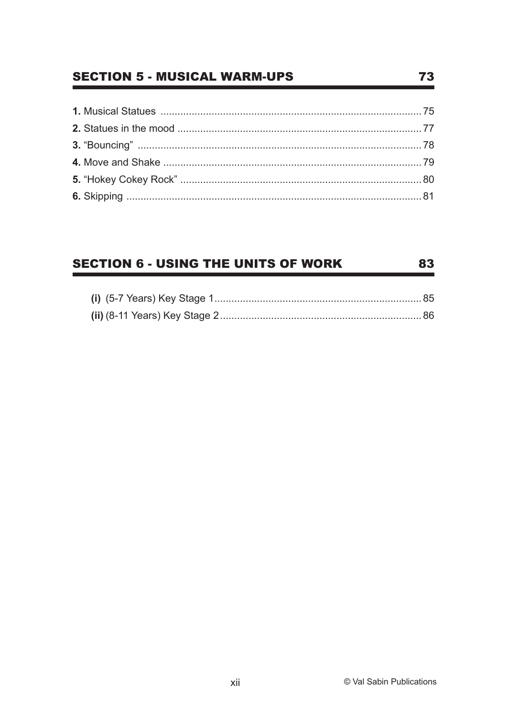### **SECTION 5 - MUSICAL WARM-UPS**

#### **SECTION 6 - USING THE UNITS OF WORK** 83

#### 73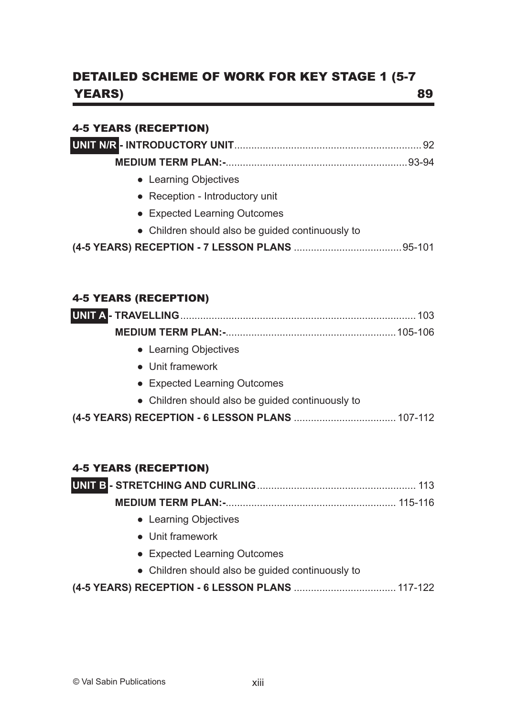# DETAILED SCHEME OF WORK FOR KEY STAGE 1 (5-7) YEARS) 89

#### 4-5 YEARS (RECEPTION)

| • Learning Objectives |  |
|-----------------------|--|
|                       |  |

- Reception Introductory unit
- Expected Learning Outcomes
- Children should also be guided continuously to
- **(4-5 YEARS) RECEPTION 7 LESSON PLANS** ......................................95-101

#### 4-5 YEARS (RECEPTION)

|                                                  | 103 |
|--------------------------------------------------|-----|
|                                                  |     |
| • Learning Objectives                            |     |
| • Unit framework                                 |     |
| • Expected Learning Outcomes                     |     |
| • Children should also be guided continuously to |     |
|                                                  |     |

#### 4-5 YEARS (RECEPTION)

| • Learning Objectives |  |
|-----------------------|--|

- Unit framework
- Expected Learning Outcomes
- Children should also be guided continuously to
- **(4-5 YEARS) RECEPTION 6 LESSON PLANS** .................................... 117-122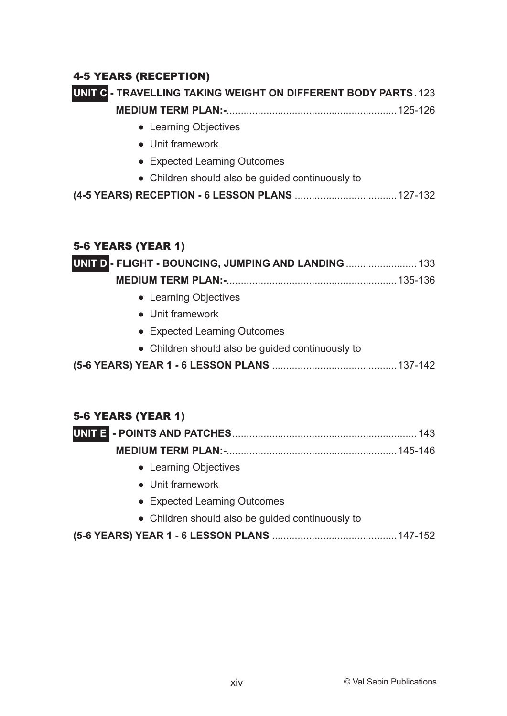#### 4-5 YEARS (RECEPTION)

# **UNIT C - TRAVELLING TAKING WEIGHT ON DIFFERENT BODY PARTS** . 123

**MEDIUM TERM PLAN:-**............................................................125-126

- ● Learning Objectives
- Unit framework
- Expected Learning Outcomes
- Children should also be guided continuously to

```
(4-5 YEARS) RECEPTION - 6 LESSON PLANS ....................................127-132
```
#### 5-6 YEARS (YEAR 1)

| UNIT D - FLIGHT - BOUNCING, JUMPING AND LANDING  133 |  |
|------------------------------------------------------|--|
|                                                      |  |
| • Learning Objectives                                |  |
| • Unit framework                                     |  |
| • Expected Learning Outcomes                         |  |
| • Children should also be guided continuously to     |  |
|                                                      |  |

#### 5-6 YEARS (YEAR 1)

- Learning Objectives
- Unit framework
- Expected Learning Outcomes
- Children should also be guided continuously to

**(5-6 YEARS) YEAR 1 - 6 LESSON PLANS** ............................................147-152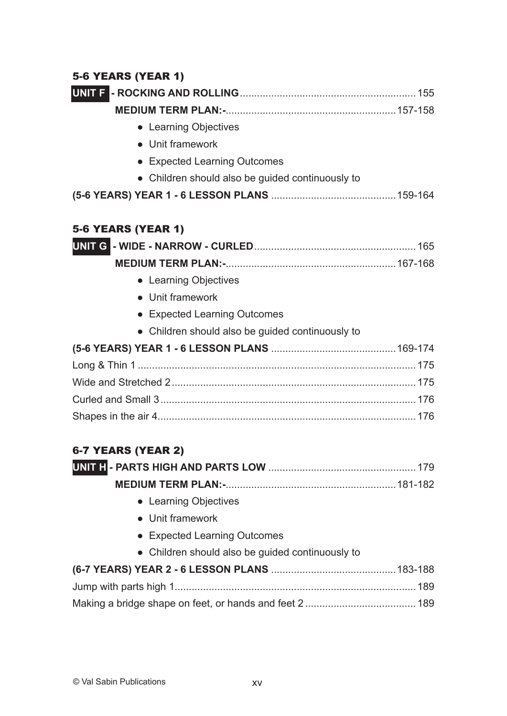#### 5-6 YEARS (YEAR 1)

| • Learning Objectives                            |
|--------------------------------------------------|
| • Unit framework                                 |
| • Expected Learning Outcomes                     |
| • Children should also be guided continuously to |
|                                                  |
| <b>5-6 YEARS (YEAR 1)</b>                        |
|                                                  |
|                                                  |
| • Learning Objectives                            |
| • Unit framework                                 |
| • Expected Learning Outcomes                     |
| • Children should also be guided continuously to |
|                                                  |
|                                                  |
|                                                  |
|                                                  |
|                                                  |
| 6-7 YEARS (YEAR 2)                               |
|                                                  |
|                                                  |
| • Learning Objectives                            |
| • Unit framework                                 |
| • Expected Learning Outcomes                     |
| • Children should also be guided continuously to |
|                                                  |
|                                                  |
|                                                  |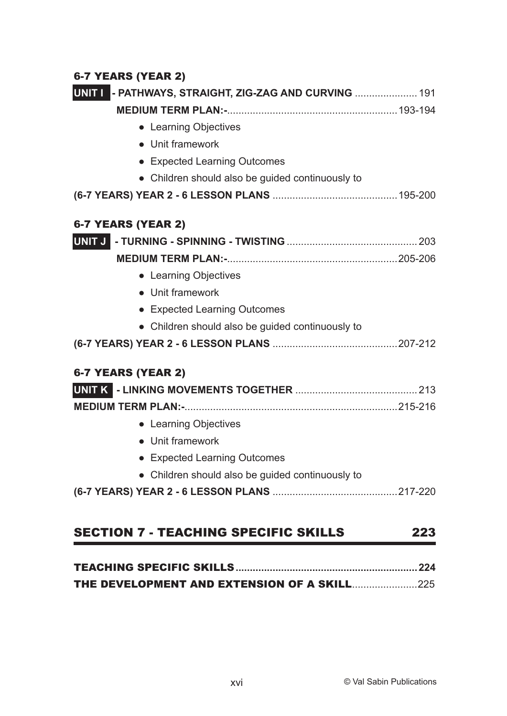# 6-7 YEARS (YEAR 2)

| UNIT I - PATHWAYS, STRAIGHT, ZIG-ZAG AND CURVING  191 |
|-------------------------------------------------------|
|                                                       |
| • Learning Objectives                                 |
| • Unit framework                                      |
| • Expected Learning Outcomes                          |
| • Children should also be guided continuously to      |
|                                                       |
| 6-7 YEARS (YEAR 2)                                    |
|                                                       |
|                                                       |
| • Learning Objectives                                 |
| • Unit framework                                      |
| • Expected Learning Outcomes                          |
| • Children should also be guided continuously to      |
|                                                       |
| 6-7 YEARS (YEAR 2)                                    |
|                                                       |
|                                                       |
| • Learning Objectives                                 |
| • Unit framework                                      |
| • Expected Learning Outcomes                          |
| • Children should also be guided continuously to      |
|                                                       |
| <b>SECTION 7 - TEACHING SPECIFIC SKILLS</b><br>223    |

# TEACHING SPECIFIC SKILLS**................................................................224**

| <b>THE DEVELOPMENT AND EXTENSION OF A SKILL225</b> |  |  |
|----------------------------------------------------|--|--|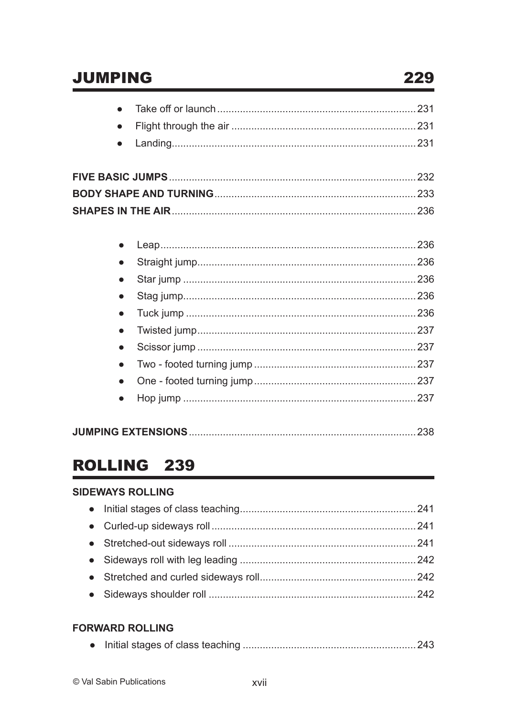# **JUMPING**

| $\bullet$ |  |
|-----------|--|
|           |  |
|           |  |
|           |  |
|           |  |
|           |  |
|           |  |
| $\bullet$ |  |
|           |  |
|           |  |
| $\bullet$ |  |
|           |  |
|           |  |

|--|--|--|

# ROLLING 239

#### **SIDEWAYS ROLLING**

#### **FORWARD ROLLING**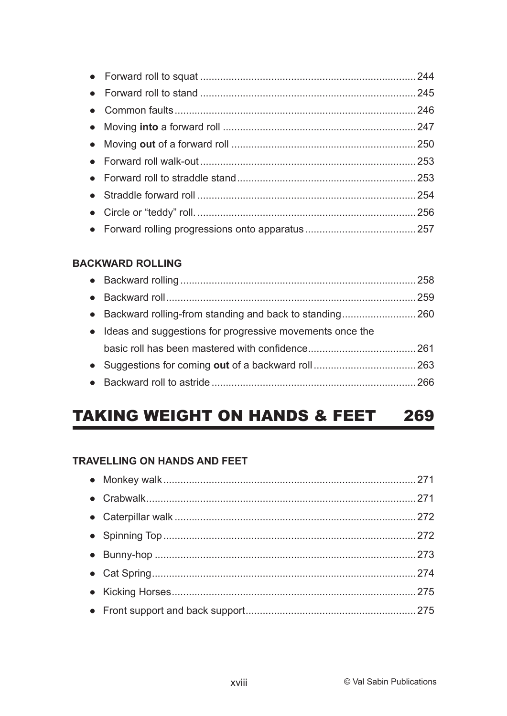#### **BACKWARD ROLLING**

| • Ideas and suggestions for progressive movements once the |  |
|------------------------------------------------------------|--|
|                                                            |  |
|                                                            |  |
|                                                            |  |

#### **TAKING WEIGHT ON HANDS & FEET** 269

#### **TRAVELLING ON HANDS AND FEET**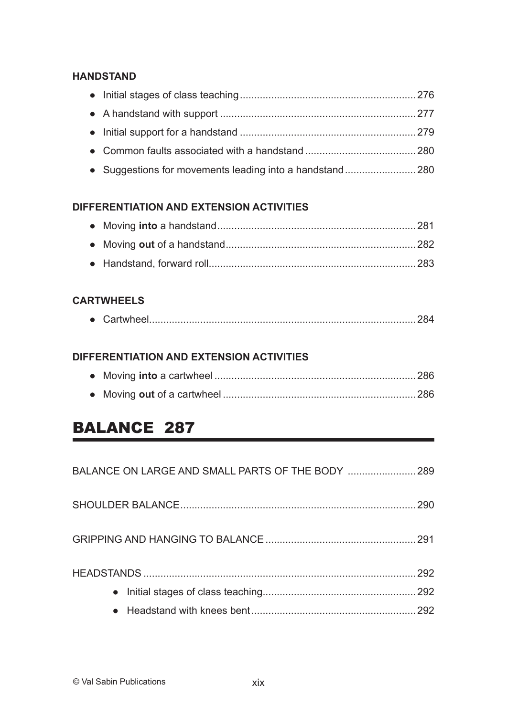#### **HANDSTAND**

#### **DIFFERENTIATION AND EXTENSION ACTIVITIES**

#### **CARTWHEELS**

|--|--|--|

#### **DIFFERENTIATION AND EXTENSION ACTIVITIES**

# BALANCE 287

| BALANCE ON LARGE AND SMALL PARTS OF THE BODY  289 |  |
|---------------------------------------------------|--|
| 290                                               |  |
|                                                   |  |
|                                                   |  |
|                                                   |  |
|                                                   |  |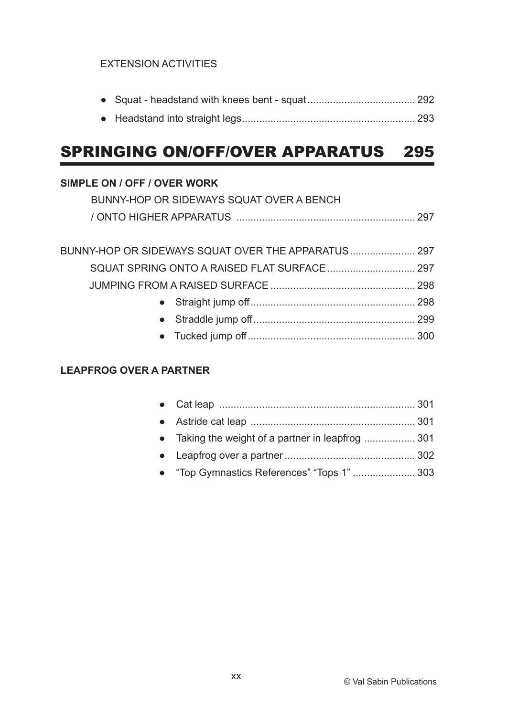#### EXTENSION ACTIVITIES

● Headstand into straight legs............................................................. 293

# SPRINGING ON/OFF/OVER APPARATUS 295

#### **SIMPLE ON / OFF / OVER WORK**

| BUNNY-HOP OR SIDEWAYS SQUAT OVER A BENCH |  |
|------------------------------------------|--|
|                                          |  |

| BUNNY-HOP OR SIDEWAYS SQUAT OVER THE APPARATUS 297 |  |
|----------------------------------------------------|--|
|                                                    |  |
|                                                    |  |
|                                                    |  |
|                                                    |  |
|                                                    |  |

#### **LEAPFROG OVER A PARTNER**

| • Taking the weight of a partner in leapfrog  301 |  |
|---------------------------------------------------|--|
|                                                   |  |
| • "Top Gymnastics References" "Tops 1" 303        |  |
|                                                   |  |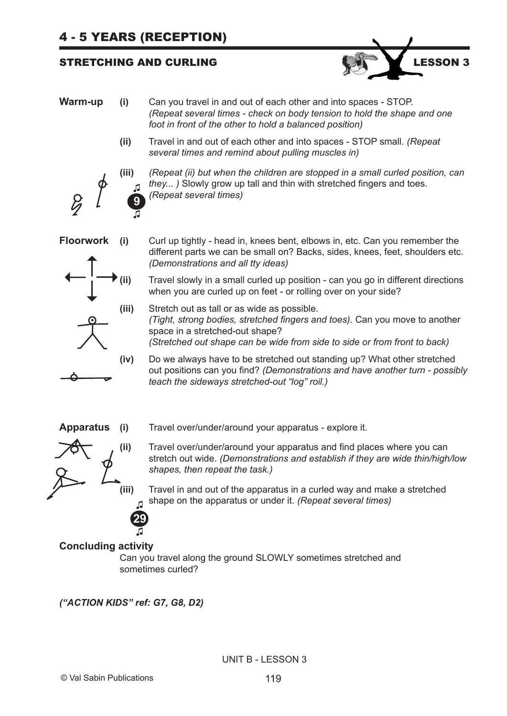#### STRETCHING AND CURLING **EXECUTE 2012 STRETCHING AND CURLING**



- **Warm-up (i)** Can you travel in and out of each other and into spaces STOP. *(Repeat several times - check on body tension to hold the shape and one foot in front of the other to hold a balanced position)*
	- **(ii)** Travel in and out of each other and into spaces STOP small. *(Repeat several times and remind about pulling muscles in)*



**(iii)** *(Repeat (ii) but when the children are stopped in a small curled position, can they... )* Slowly grow up tall and thin with stretched fingers and toes. *(Repeat several times)*





**Floorwork (i)** Curl up tightly - head in, knees bent, elbows in, etc. Can you remember the different parts we can be small on? Backs, sides, knees, feet, shoulders etc. *(Demonstrations and all tty ideas)*

> **(ii)** Travel slowly in a small curled up position - can you go in different directions when you are curled up on feet - or rolling over on your side?

- **(iii)** Stretch out as tall or as wide as possible.  *(Tight, strong bodies, stretched fingers and toes).* Can you move to another space in a stretched-out shape? *(Stretched out shape can be wide from side to side or from front to back)*
- **(iv)** Do we always have to be stretched out standing up? What other stretched out positions can you find? *(Demonstrations and have another turn - possibly teach the sideways stretched-out "log" roil.)*



- **Apparatus (i)** Travel over/under/around your apparatus explore it.
	- **(ii)** Travel over/under/around your apparatus and find places where you can stretch out wide. *(Demonstrations and establish if they are wide thin/high/low shapes, then repeat the task.)*
	- **(iii)** Travel in and out of the apparatus in a curled way and make a stretched shape on the apparatus or under it. *(Repeat several times)*  **♫**

#### **Concluding activity ♫**

Can you travel along the ground SLOWLY sometimes stretched and sometimes curled?

*("ACTION KIDS" ref: G7, G8, D2)*

**29**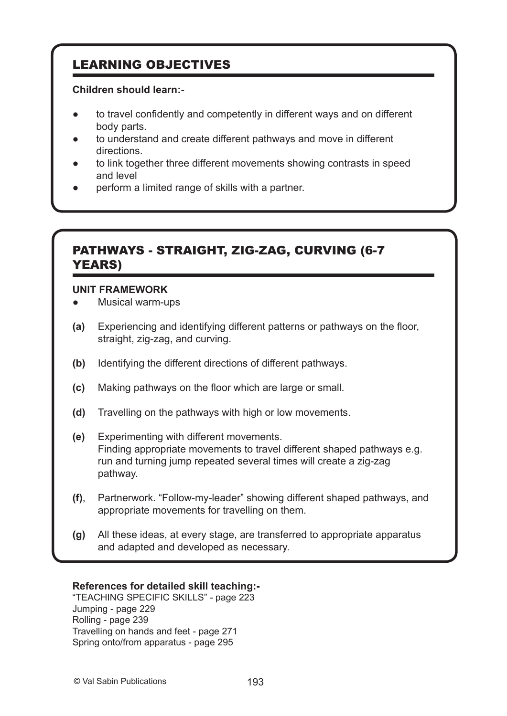# LEARNING OBJECTIVES

#### **Children should learn:-**

- to travel confidently and competently in different ways and on different body parts.
- to understand and create different pathways and move in different directions.
- to link together three different movements showing contrasts in speed and level
- perform a limited range of skills with a partner.

### PATHWAYS - STRAIGHT, ZIG-ZAG, CURVING (6-7 YEARS)

#### **UNIT FRAMEWORK**

- Musical warm-ups
- **(a)** Experiencing and identifying different patterns or pathways on the floor, straight, zig-zag, and curving.
- **(b)** Identifying the different directions of different pathways.
- **(c)** Making pathways on the floor which are large or small.
- **(d)** Travelling on the pathways with high or low movements.
- **(e)** Experimenting with different movements. Finding appropriate movements to travel different shaped pathways e.g. run and turning jump repeated several times will create a zig-zag pathway.
- **(f)**, Partnerwork. "Follow-my-leader" showing different shaped pathways, and appropriate movements for travelling on them.
- **(g)** All these ideas, at every stage, are transferred to appropriate apparatus and adapted and developed as necessary.

#### **References for detailed skill teaching:-**

"TEACHING SPECIFIC SKILLS" *-* page 223 Jumping - page 229 Rolling - page 239 Travelling on hands and feet - page 271 Spring onto/from apparatus - page 295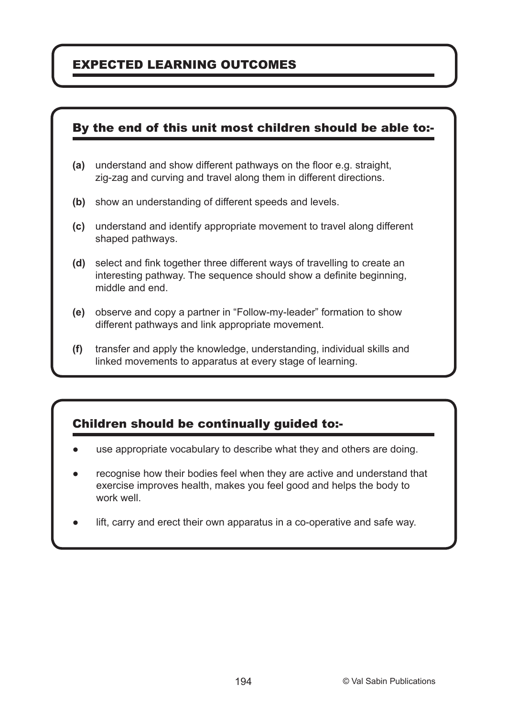# EXPECTED LEARNING OUTCOMES

### By the end of this unit most children should be able to:-

- **(a)** understand and show different pathways on the floor e.g. straight, zig-zag and curving and travel along them in different directions.
- **(b)** show an understanding of different speeds and levels.
- **(c)** understand and identify appropriate movement to travel along different shaped pathways.
- **(d)** select and fink together three different ways of travelling to create an interesting pathway. The sequence should show a definite beginning, middle and end.
- **(e)** observe and copy a partner in "Follow-my-leader" formation to show different pathways and link appropriate movement.
- **(f)** transfer and apply the knowledge, understanding, individual skills and linked movements to apparatus at every stage of learning.

# Children should be continually guided to:-

- use appropriate vocabulary to describe what they and others are doing.
- recognise how their bodies feel when they are active and understand that exercise improves health, makes you feel good and helps the body to work well.
- lift, carry and erect their own apparatus in a co-operative and safe way.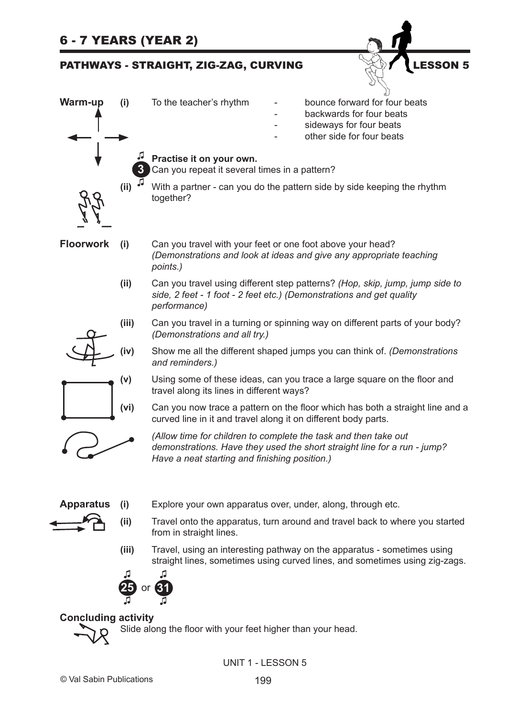| <b>6 - 7 YEARS (YEAR 2)</b> |       |                                                                                                                                                                                              |  |
|-----------------------------|-------|----------------------------------------------------------------------------------------------------------------------------------------------------------------------------------------------|--|
|                             |       | <b>LESSON 5</b><br>PATHWAYS - STRAIGHT, ZIG-ZAG, CURVING                                                                                                                                     |  |
| <b>Warm-up</b>              | (i)   | bounce forward for four beats<br>To the teacher's rhythm<br>backwards for four beats<br>sideways for four beats<br>other side for four beats                                                 |  |
|                             |       | Practise it on your own.<br>Can you repeat it several times in a pattern?                                                                                                                    |  |
|                             | (ii)  | With a partner - can you do the pattern side by side keeping the rhythm<br>together?                                                                                                         |  |
| <b>Floorwork</b>            | (i)   | Can you travel with your feet or one foot above your head?<br>(Demonstrations and look at ideas and give any appropriate teaching<br>points.)                                                |  |
|                             | (ii)  | Can you travel using different step patterns? (Hop, skip, jump, jump side to<br>side, 2 feet - 1 foot - 2 feet etc.) (Demonstrations and get quality<br>performance)                         |  |
|                             | (iii) | Can you travel in a turning or spinning way on different parts of your body?<br>(Demonstrations and all try.)                                                                                |  |
|                             | (iv)  | Show me all the different shaped jumps you can think of. (Demonstrations<br>and reminders.)                                                                                                  |  |
|                             | (v)   | Using some of these ideas, can you trace a large square on the floor and<br>travel along its lines in different ways?                                                                        |  |
|                             | (vi)  | Can you now trace a pattern on the floor which has both a straight line and a<br>curved line in it and travel along it on different body parts.                                              |  |
|                             |       | (Allow time for children to complete the task and then take out<br>demonstrations. Have they used the short straight line for a run - jump?<br>Have a neat starting and finishing position.) |  |
| <b>Apparatus</b>            | (i)   | Explore your own apparatus over, under, along, through etc.                                                                                                                                  |  |
|                             | (ii)  | Travel onto the apparatus, turn around and travel back to where you started<br>from in straight lines.                                                                                       |  |
|                             | (iii) | Travel, using an interesting pathway on the apparatus - sometimes using<br>straight lines, sometimes using curved lines, and sometimes using zig-zags.                                       |  |
|                             |       |                                                                                                                                                                                              |  |
| <b>Concluding activity</b>  |       |                                                                                                                                                                                              |  |

Slide along the floor with your feet higher than your head.

 $\chi$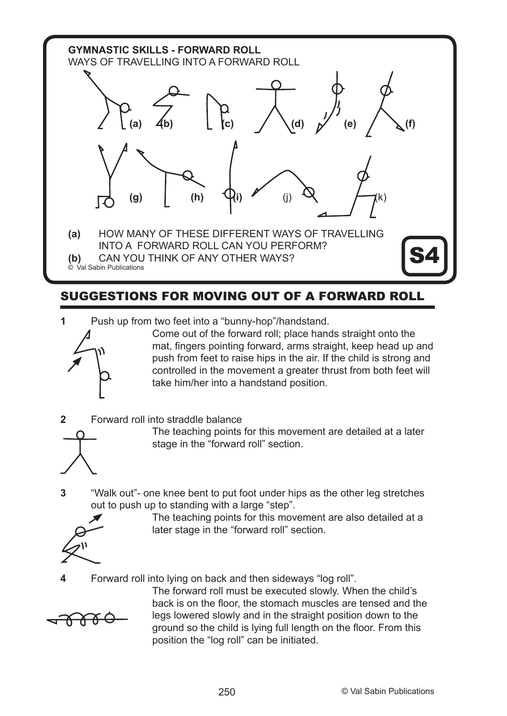

# SUGGESTIONS FOR MOVING OUT OF A FORWARD ROLL

**1** Push up from two feet into a "bunny-hop"/handstand.



- Come out of the forward roll; place hands straight onto the mat, fingers pointing forward, arms straight, keep head up and push from feet to raise hips in the air. If the child is strong and controlled in the movement a greater thrust from both feet will take him/her into a handstand position.
- **2** Forward roll into straddle balance



 The teaching points for this movement are detailed at a later stage in the "forward roll" section.

**3** "Walk out"- one knee bent to put foot under hips as the other leg stretches out to push up to standing with a large "step".



 The teaching points for this movement are also detailed at a later stage in the "forward roll" section.

**4** Forward roll into lying on back and then sideways "log roll".



 The forward roll must be executed slowly. When the child's back is on the floor, the stomach muscles are tensed and the legs lowered slowly and in the straight position down to the ground so the child is lying full length on the floor. From this position the "log roll" can be initiated.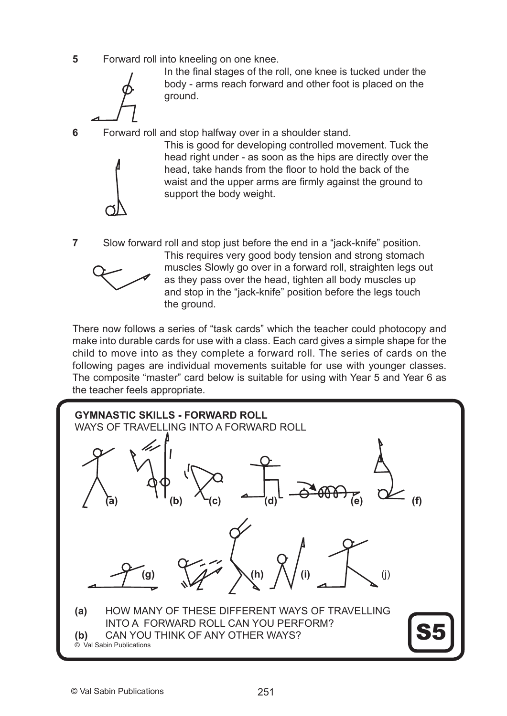**5** Forward roll into kneeling on one knee.

In the final stages of the roll, one knee is tucked under the body - arms reach forward and other foot is placed on the ground.

**6** Forward roll and stop halfway over in a shoulder stand.

 This is good for developing controlled movement. Tuck the head right under - as soon as the hips are directly over the head, take hands from the floor to hold the back of the waist and the upper arms are firmly against the ground to support the body weight.

**7** Slow forward roll and stop just before the end in a "jack-knife" position.



 This requires very good body tension and strong stomach muscles Slowly go over in a forward roll, straighten legs out as they pass over the head, tighten all body muscles up and stop in the "jack-knife" position before the legs touch the ground.

There now follows a series of "task cards" which the teacher could photocopy and make into durable cards for use with a class. Each card gives a simple shape for the child to move into as they complete a forward roll. The series of cards on the following pages are individual movements suitable for use with younger classes. The composite "master" card below is suitable for using with Year 5 and Year 6 as the teacher feels appropriate.

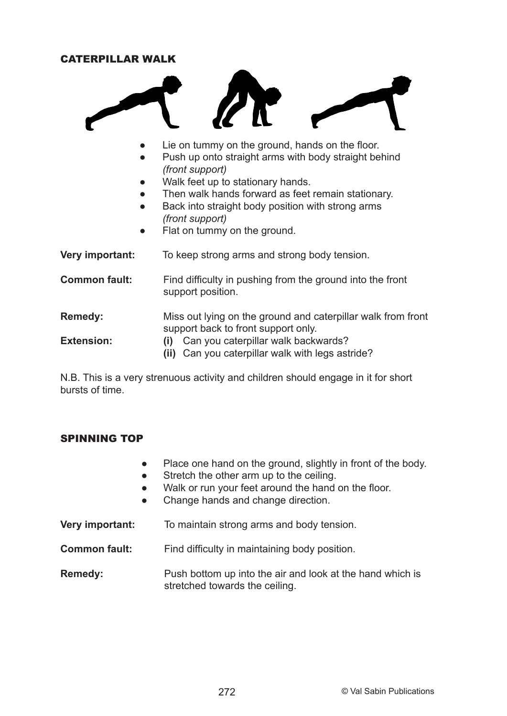#### CATERPILLAR WALK



- Lie on tummy on the ground, hands on the floor.
- Push up onto straight arms with body straight behind *(front support)*
- Walk feet up to stationary hands.
- Then walk hands forward as feet remain stationary.
- Back into straight body position with strong arms *(front support)*
- Flat on tummy on the ground.

**Very important:** To keep strong arms and strong body tension. **Common fault:** Find difficulty in pushing from the ground into the front support position. **Remedy:** Miss out lying on the ground and caterpillar walk from front support back to front support only.

**Extension: (i)** Can you caterpillar walk backwards? **(ii)** Can you caterpillar walk with legs astride?

N.B. This is a very strenuous activity and children should engage in it for short bursts of time.

#### SPINNING TOP

- Place one hand on the ground, slightly in front of the body.
- Stretch the other arm up to the ceiling.
- Walk or run your feet around the hand on the floor.
- Change hands and change direction.

**Very important:** To maintain strong arms and body tension.

**Common fault:** Find difficulty in maintaining body position.

**Remedy:** Push bottom up into the air and look at the hand which is stretched towards the ceiling.